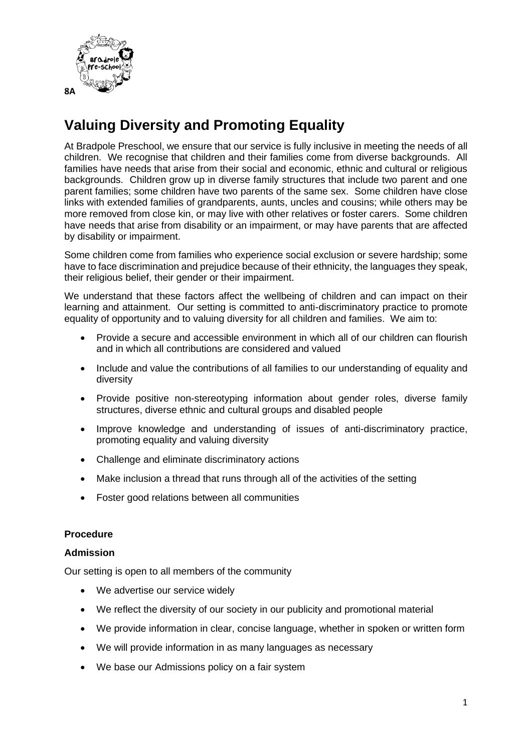

# **Valuing Diversity and Promoting Equality**

At Bradpole Preschool, we ensure that our service is fully inclusive in meeting the needs of all children. We recognise that children and their families come from diverse backgrounds. All families have needs that arise from their social and economic, ethnic and cultural or religious backgrounds. Children grow up in diverse family structures that include two parent and one parent families; some children have two parents of the same sex. Some children have close links with extended families of grandparents, aunts, uncles and cousins; while others may be more removed from close kin, or may live with other relatives or foster carers. Some children have needs that arise from disability or an impairment, or may have parents that are affected by disability or impairment.

Some children come from families who experience social exclusion or severe hardship; some have to face discrimination and prejudice because of their ethnicity, the languages they speak, their religious belief, their gender or their impairment.

We understand that these factors affect the wellbeing of children and can impact on their learning and attainment. Our setting is committed to anti-discriminatory practice to promote equality of opportunity and to valuing diversity for all children and families. We aim to:

- Provide a secure and accessible environment in which all of our children can flourish and in which all contributions are considered and valued
- Include and value the contributions of all families to our understanding of equality and diversity
- Provide positive non-stereotyping information about gender roles, diverse family structures, diverse ethnic and cultural groups and disabled people
- Improve knowledge and understanding of issues of anti-discriminatory practice, promoting equality and valuing diversity
- Challenge and eliminate discriminatory actions
- Make inclusion a thread that runs through all of the activities of the setting
- Foster good relations between all communities

## **Procedure**

## **Admission**

Our setting is open to all members of the community

- We advertise our service widely
- We reflect the diversity of our society in our publicity and promotional material
- We provide information in clear, concise language, whether in spoken or written form
- We will provide information in as many languages as necessary
- We base our Admissions policy on a fair system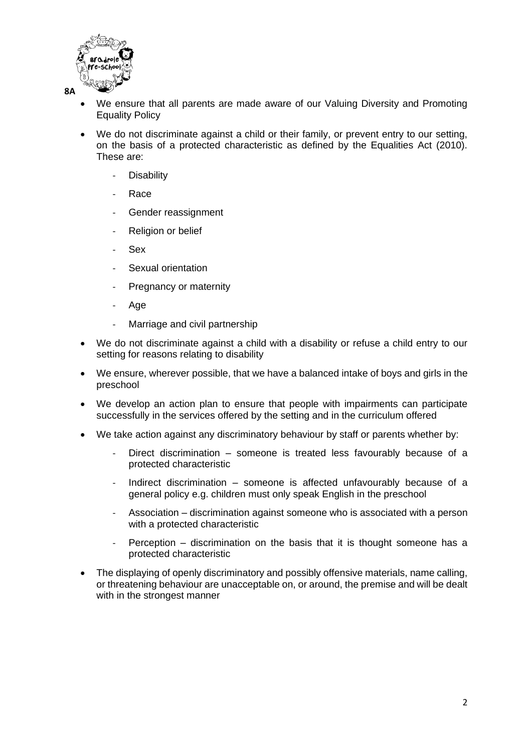

- We ensure that all parents are made aware of our Valuing Diversity and Promoting Equality Policy
- We do not discriminate against a child or their family, or prevent entry to our setting, on the basis of a protected characteristic as defined by the Equalities Act (2010). These are:
	- **Disability**
	- **Race**
	- Gender reassignment
	- Religion or belief
	- **Sex**
	- Sexual orientation
	- Pregnancy or maternity
	- Age
	- Marriage and civil partnership
- We do not discriminate against a child with a disability or refuse a child entry to our setting for reasons relating to disability
- We ensure, wherever possible, that we have a balanced intake of boys and girls in the preschool
- We develop an action plan to ensure that people with impairments can participate successfully in the services offered by the setting and in the curriculum offered
- We take action against any discriminatory behaviour by staff or parents whether by:
	- Direct discrimination someone is treated less favourably because of a protected characteristic
	- Indirect discrimination  $-$  someone is affected unfavourably because of a general policy e.g. children must only speak English in the preschool
	- Association discrimination against someone who is associated with a person with a protected characteristic
	- Perception  $-$  discrimination on the basis that it is thought someone has a protected characteristic
- The displaying of openly discriminatory and possibly offensive materials, name calling, or threatening behaviour are unacceptable on, or around, the premise and will be dealt with in the strongest manner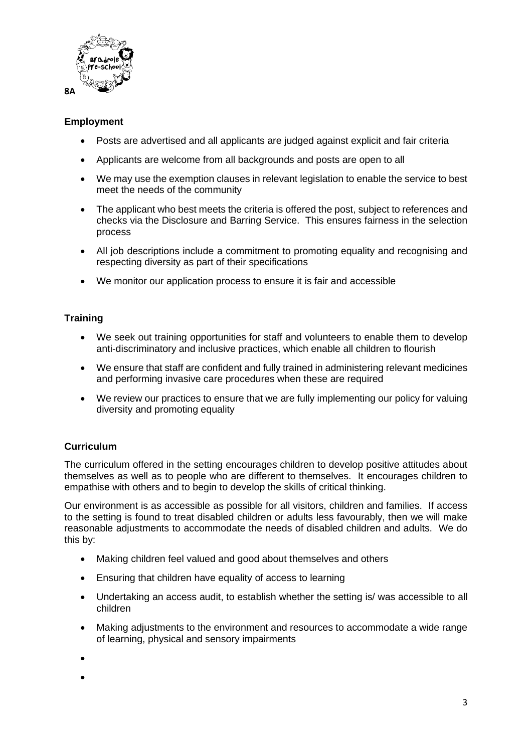

## **Employment**

- Posts are advertised and all applicants are judged against explicit and fair criteria
- Applicants are welcome from all backgrounds and posts are open to all
- We may use the exemption clauses in relevant legislation to enable the service to best meet the needs of the community
- The applicant who best meets the criteria is offered the post, subject to references and checks via the Disclosure and Barring Service. This ensures fairness in the selection process
- All job descriptions include a commitment to promoting equality and recognising and respecting diversity as part of their specifications
- We monitor our application process to ensure it is fair and accessible

## **Training**

- We seek out training opportunities for staff and volunteers to enable them to develop anti-discriminatory and inclusive practices, which enable all children to flourish
- We ensure that staff are confident and fully trained in administering relevant medicines and performing invasive care procedures when these are required
- We review our practices to ensure that we are fully implementing our policy for valuing diversity and promoting equality

# **Curriculum**

The curriculum offered in the setting encourages children to develop positive attitudes about themselves as well as to people who are different to themselves. It encourages children to empathise with others and to begin to develop the skills of critical thinking.

Our environment is as accessible as possible for all visitors, children and families. If access to the setting is found to treat disabled children or adults less favourably, then we will make reasonable adjustments to accommodate the needs of disabled children and adults. We do this by:

- Making children feel valued and good about themselves and others
- Ensuring that children have equality of access to learning
- Undertaking an access audit, to establish whether the setting is/ was accessible to all children
- Making adjustments to the environment and resources to accommodate a wide range of learning, physical and sensory impairments
- •
- •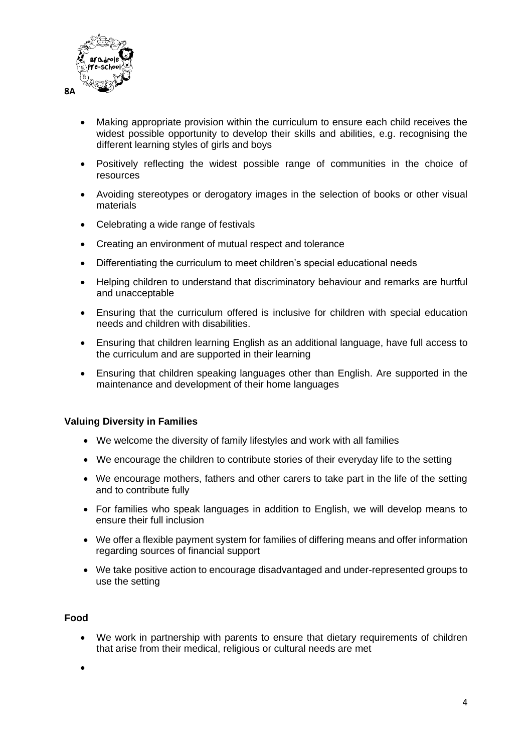

- Making appropriate provision within the curriculum to ensure each child receives the widest possible opportunity to develop their skills and abilities, e.g. recognising the different learning styles of girls and boys
- Positively reflecting the widest possible range of communities in the choice of resources
- Avoiding stereotypes or derogatory images in the selection of books or other visual materials
- Celebrating a wide range of festivals
- Creating an environment of mutual respect and tolerance
- Differentiating the curriculum to meet children's special educational needs
- Helping children to understand that discriminatory behaviour and remarks are hurtful and unacceptable
- Ensuring that the curriculum offered is inclusive for children with special education needs and children with disabilities.
- Ensuring that children learning English as an additional language, have full access to the curriculum and are supported in their learning
- Ensuring that children speaking languages other than English. Are supported in the maintenance and development of their home languages

## **Valuing Diversity in Families**

- We welcome the diversity of family lifestyles and work with all families
- We encourage the children to contribute stories of their everyday life to the setting
- We encourage mothers, fathers and other carers to take part in the life of the setting and to contribute fully
- For families who speak languages in addition to English, we will develop means to ensure their full inclusion
- We offer a flexible payment system for families of differing means and offer information regarding sources of financial support
- We take positive action to encourage disadvantaged and under-represented groups to use the setting

## **Food**

• We work in partnership with parents to ensure that dietary requirements of children that arise from their medical, religious or cultural needs are met

•